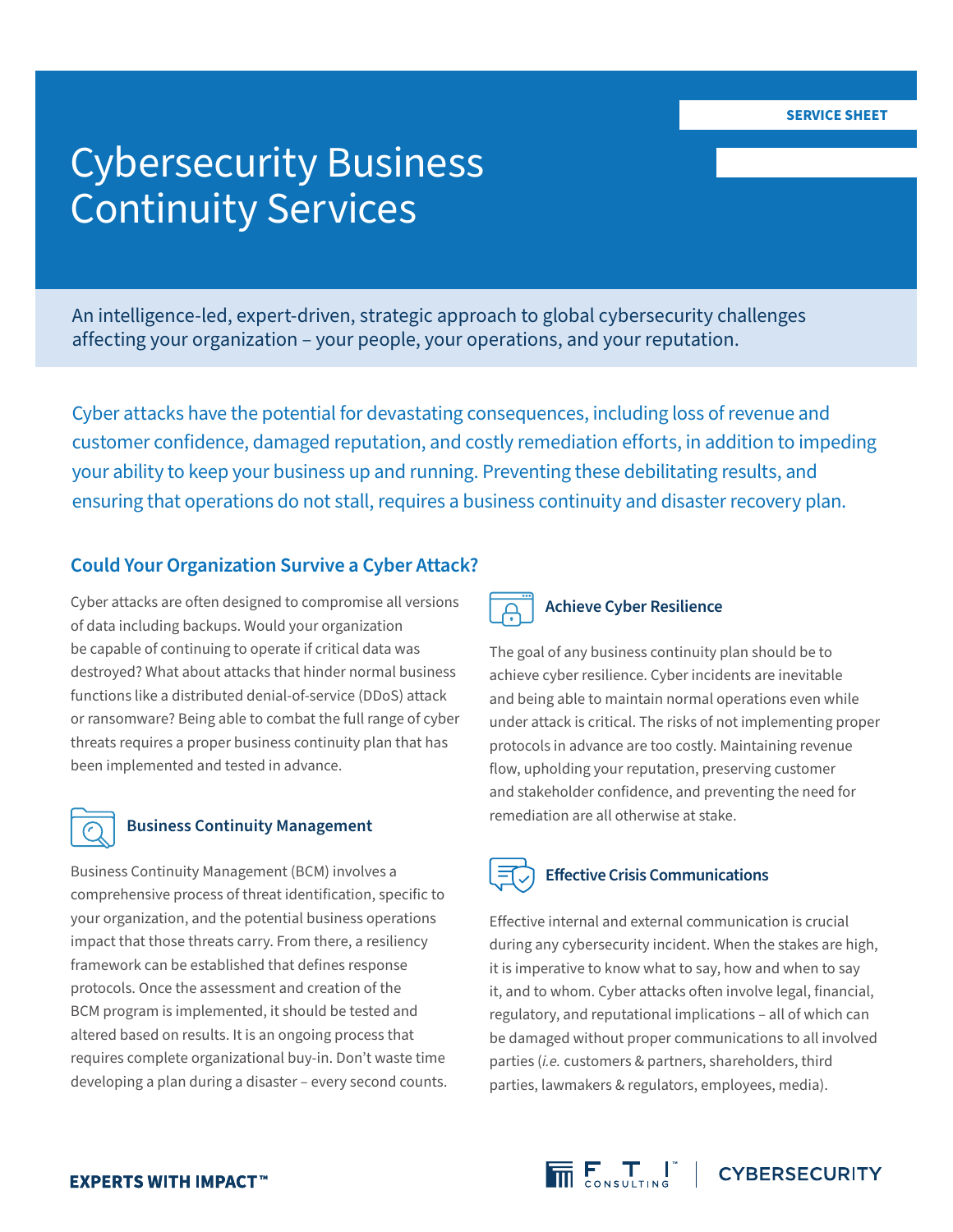### Cybersecurity Business Continuity Services

An intelligence-led, expert-driven, strategic approach to global cybersecurity challenges affecting your organization – your people, your operations, and your reputation.

Cyber attacks have the potential for devastating consequences, including loss of revenue and customer confidence, damaged reputation, and costly remediation efforts, in addition to impeding your ability to keep your business up and running. Preventing these debilitating results, and ensuring that operations do not stall, requires a business continuity and disaster recovery plan.

### **Could Your Organization Survive a Cyber Attack?**

Cyber attacks are often designed to compromise all versions of data including backups. Would your organization be capable of continuing to operate if critical data was destroyed? What about attacks that hinder normal business functions like a distributed denial-of-service (DDoS) attack or ransomware? Being able to combat the full range of cyber threats requires a proper business continuity plan that has been implemented and tested in advance.



### **Business Continuity Management**

Business Continuity Management (BCM) involves a comprehensive process of threat identification, specific to your organization, and the potential business operations impact that those threats carry. From there, a resiliency framework can be established that defines response protocols. Once the assessment and creation of the BCM program is implemented, it should be tested and altered based on results. It is an ongoing process that requires complete organizational buy-in. Don't waste time developing a plan during a disaster – every second counts.



### **Achieve Cyber Resilience**

The goal of any business continuity plan should be to achieve cyber resilience. Cyber incidents are inevitable and being able to maintain normal operations even while under attack is critical. The risks of not implementing proper protocols in advance are too costly. Maintaining revenue flow, upholding your reputation, preserving customer and stakeholder confidence, and preventing the need for remediation are all otherwise at stake.



Effective internal and external communication is crucial during any cybersecurity incident. When the stakes are high, it is imperative to know what to say, how and when to say it, and to whom. Cyber attacks often involve legal, financial, regulatory, and reputational implications – all of which can be damaged without proper communications to all involved parties (*i.e.* customers & partners, shareholders, third parties, lawmakers & regulators, employees, media).

 $\overline{\overline{\mathsf{m}}}\mathsf{F}_{\mathsf{conv}:\mathsf{unim}\mathsf{F}}^{\mathsf{T}}$  | CYBERSECURITY